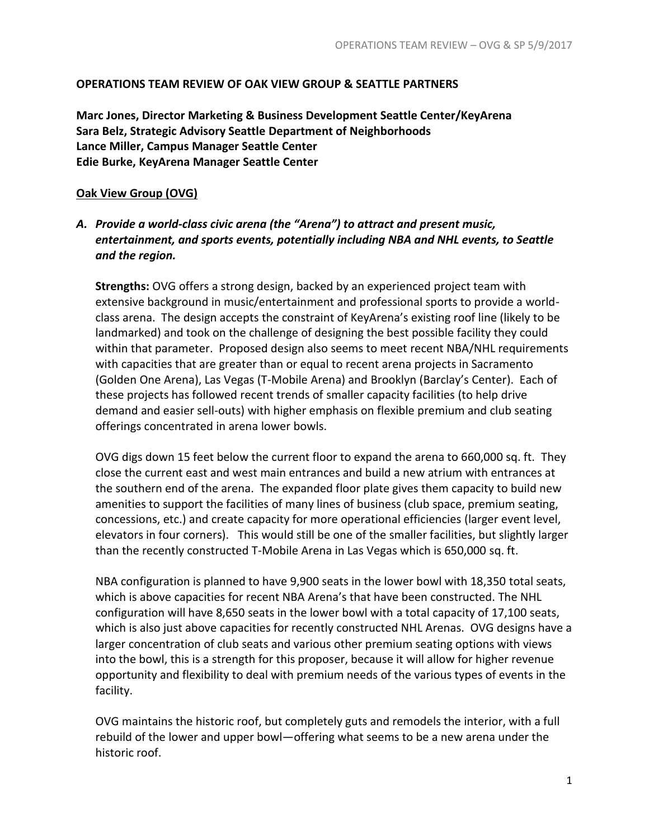#### **OPERATIONS TEAM REVIEW OF OAK VIEW GROUP & SEATTLE PARTNERS**

**Marc Jones, Director Marketing & Business Development Seattle Center/KeyArena Sara Belz, Strategic Advisory Seattle Department of Neighborhoods Lance Miller, Campus Manager Seattle Center Edie Burke, KeyArena Manager Seattle Center**

#### **Oak View Group (OVG)**

## *A. Provide a world-class civic arena (the "Arena") to attract and present music, entertainment, and sports events, potentially including NBA and NHL events, to Seattle and the region.*

**Strengths:** OVG offers a strong design, backed by an experienced project team with extensive background in music/entertainment and professional sports to provide a worldclass arena. The design accepts the constraint of KeyArena's existing roof line (likely to be landmarked) and took on the challenge of designing the best possible facility they could within that parameter. Proposed design also seems to meet recent NBA/NHL requirements with capacities that are greater than or equal to recent arena projects in Sacramento (Golden One Arena), Las Vegas (T-Mobile Arena) and Brooklyn (Barclay's Center). Each of these projects has followed recent trends of smaller capacity facilities (to help drive demand and easier sell-outs) with higher emphasis on flexible premium and club seating offerings concentrated in arena lower bowls.

OVG digs down 15 feet below the current floor to expand the arena to 660,000 sq. ft. They close the current east and west main entrances and build a new atrium with entrances at the southern end of the arena. The expanded floor plate gives them capacity to build new amenities to support the facilities of many lines of business (club space, premium seating, concessions, etc.) and create capacity for more operational efficiencies (larger event level, elevators in four corners). This would still be one of the smaller facilities, but slightly larger than the recently constructed T-Mobile Arena in Las Vegas which is 650,000 sq. ft.

NBA configuration is planned to have 9,900 seats in the lower bowl with 18,350 total seats, which is above capacities for recent NBA Arena's that have been constructed. The NHL configuration will have 8,650 seats in the lower bowl with a total capacity of 17,100 seats, which is also just above capacities for recently constructed NHL Arenas. OVG designs have a larger concentration of club seats and various other premium seating options with views into the bowl, this is a strength for this proposer, because it will allow for higher revenue opportunity and flexibility to deal with premium needs of the various types of events in the facility.

OVG maintains the historic roof, but completely guts and remodels the interior, with a full rebuild of the lower and upper bowl—offering what seems to be a new arena under the historic roof.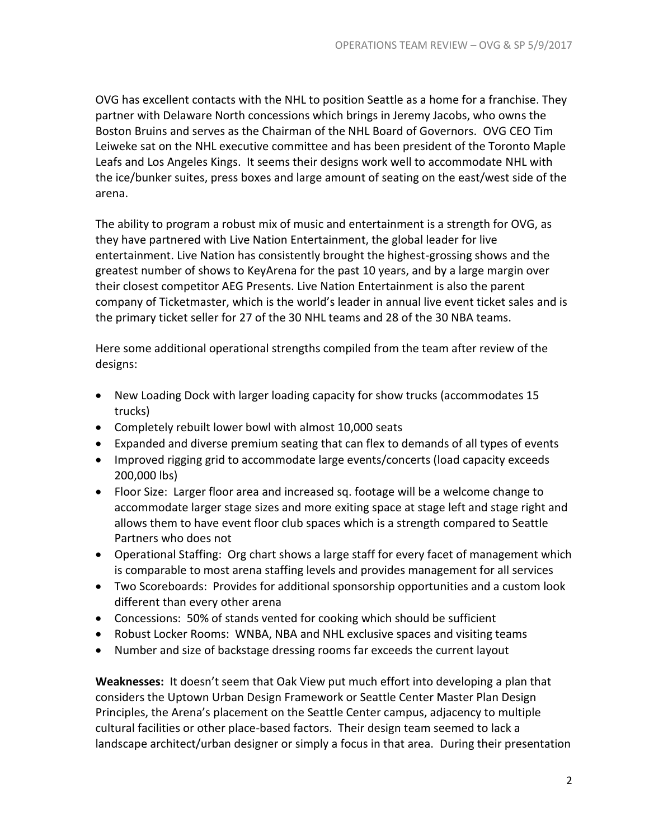OVG has excellent contacts with the NHL to position Seattle as a home for a franchise. They partner with Delaware North concessions which brings in Jeremy Jacobs, who owns the Boston Bruins and serves as the Chairman of the NHL Board of Governors. OVG CEO Tim Leiweke sat on the NHL executive committee and has been president of the Toronto Maple Leafs and Los Angeles Kings. It seems their designs work well to accommodate NHL with the ice/bunker suites, press boxes and large amount of seating on the east/west side of the arena.

The ability to program a robust mix of music and entertainment is a strength for OVG, as they have partnered with Live Nation Entertainment, the global leader for live entertainment. Live Nation has consistently brought the highest-grossing shows and the greatest number of shows to KeyArena for the past 10 years, and by a large margin over their closest competitor AEG Presents. Live Nation Entertainment is also the parent company of Ticketmaster, which is the world's leader in annual live event ticket sales and is the primary ticket seller for 27 of the 30 NHL teams and 28 of the 30 NBA teams.

Here some additional operational strengths compiled from the team after review of the designs:

- New Loading Dock with larger loading capacity for show trucks (accommodates 15 trucks)
- Completely rebuilt lower bowl with almost 10,000 seats
- Expanded and diverse premium seating that can flex to demands of all types of events
- Improved rigging grid to accommodate large events/concerts (load capacity exceeds 200,000 lbs)
- Floor Size: Larger floor area and increased sq. footage will be a welcome change to accommodate larger stage sizes and more exiting space at stage left and stage right and allows them to have event floor club spaces which is a strength compared to Seattle Partners who does not
- Operational Staffing: Org chart shows a large staff for every facet of management which is comparable to most arena staffing levels and provides management for all services
- Two Scoreboards: Provides for additional sponsorship opportunities and a custom look different than every other arena
- Concessions: 50% of stands vented for cooking which should be sufficient
- Robust Locker Rooms: WNBA, NBA and NHL exclusive spaces and visiting teams
- Number and size of backstage dressing rooms far exceeds the current layout

**Weaknesses:** It doesn't seem that Oak View put much effort into developing a plan that considers the Uptown Urban Design Framework or Seattle Center Master Plan Design Principles, the Arena's placement on the Seattle Center campus, adjacency to multiple cultural facilities or other place-based factors. Their design team seemed to lack a landscape architect/urban designer or simply a focus in that area. During their presentation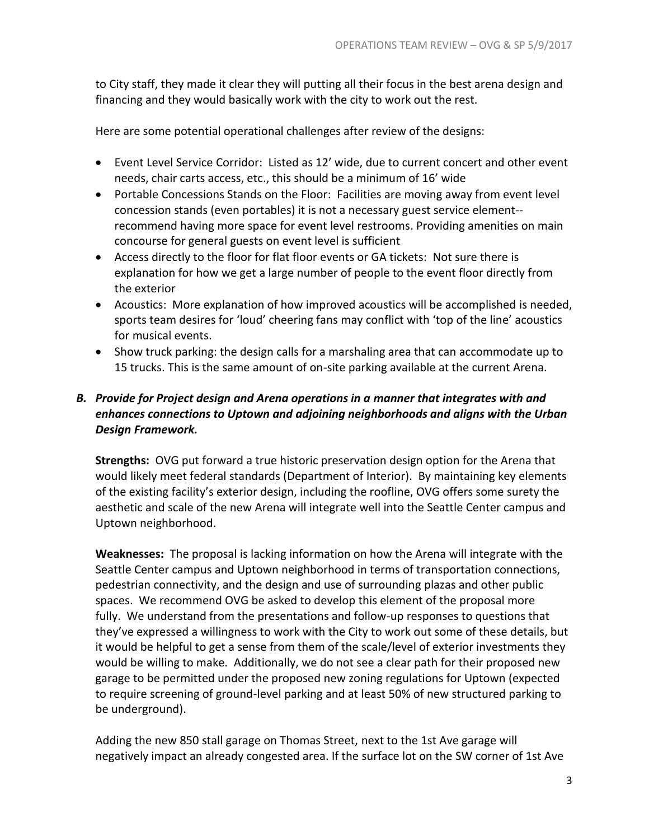to City staff, they made it clear they will putting all their focus in the best arena design and financing and they would basically work with the city to work out the rest.

Here are some potential operational challenges after review of the designs:

- Event Level Service Corridor: Listed as 12' wide, due to current concert and other event needs, chair carts access, etc., this should be a minimum of 16' wide
- Portable Concessions Stands on the Floor: Facilities are moving away from event level concession stands (even portables) it is not a necessary guest service element- recommend having more space for event level restrooms. Providing amenities on main concourse for general guests on event level is sufficient
- Access directly to the floor for flat floor events or GA tickets: Not sure there is explanation for how we get a large number of people to the event floor directly from the exterior
- Acoustics: More explanation of how improved acoustics will be accomplished is needed, sports team desires for 'loud' cheering fans may conflict with 'top of the line' acoustics for musical events.
- Show truck parking: the design calls for a marshaling area that can accommodate up to 15 trucks. This is the same amount of on-site parking available at the current Arena.

# *B. Provide for Project design and Arena operations in a manner that integrates with and enhances connections to Uptown and adjoining neighborhoods and aligns with the Urban Design Framework.*

**Strengths:** OVG put forward a true historic preservation design option for the Arena that would likely meet federal standards (Department of Interior). By maintaining key elements of the existing facility's exterior design, including the roofline, OVG offers some surety the aesthetic and scale of the new Arena will integrate well into the Seattle Center campus and Uptown neighborhood.

**Weaknesses:** The proposal is lacking information on how the Arena will integrate with the Seattle Center campus and Uptown neighborhood in terms of transportation connections, pedestrian connectivity, and the design and use of surrounding plazas and other public spaces. We recommend OVG be asked to develop this element of the proposal more fully. We understand from the presentations and follow-up responses to questions that they've expressed a willingness to work with the City to work out some of these details, but it would be helpful to get a sense from them of the scale/level of exterior investments they would be willing to make. Additionally, we do not see a clear path for their proposed new garage to be permitted under the proposed new zoning regulations for Uptown (expected to require screening of ground-level parking and at least 50% of new structured parking to be underground).

Adding the new 850 stall garage on Thomas Street, next to the 1st Ave garage will negatively impact an already congested area. If the surface lot on the SW corner of 1st Ave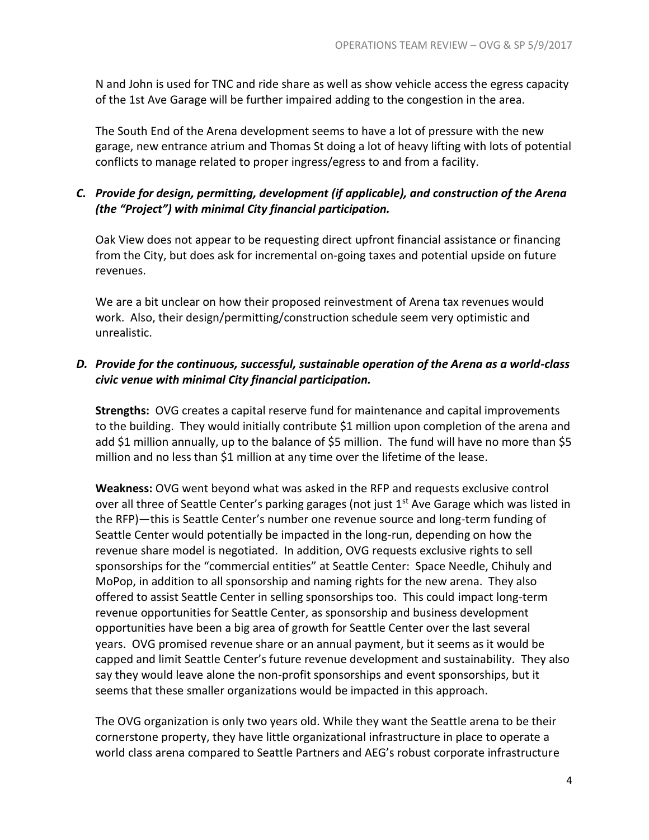N and John is used for TNC and ride share as well as show vehicle access the egress capacity of the 1st Ave Garage will be further impaired adding to the congestion in the area.

The South End of the Arena development seems to have a lot of pressure with the new garage, new entrance atrium and Thomas St doing a lot of heavy lifting with lots of potential conflicts to manage related to proper ingress/egress to and from a facility.

# *C. Provide for design, permitting, development (if applicable), and construction of the Arena (the "Project") with minimal City financial participation.*

Oak View does not appear to be requesting direct upfront financial assistance or financing from the City, but does ask for incremental on-going taxes and potential upside on future revenues.

We are a bit unclear on how their proposed reinvestment of Arena tax revenues would work. Also, their design/permitting/construction schedule seem very optimistic and unrealistic.

## *D. Provide for the continuous, successful, sustainable operation of the Arena as a world-class civic venue with minimal City financial participation.*

**Strengths:** OVG creates a capital reserve fund for maintenance and capital improvements to the building. They would initially contribute \$1 million upon completion of the arena and add \$1 million annually, up to the balance of \$5 million. The fund will have no more than \$5 million and no less than \$1 million at any time over the lifetime of the lease.

**Weakness:** OVG went beyond what was asked in the RFP and requests exclusive control over all three of Seattle Center's parking garages (not just 1<sup>st</sup> Ave Garage which was listed in the RFP)—this is Seattle Center's number one revenue source and long-term funding of Seattle Center would potentially be impacted in the long-run, depending on how the revenue share model is negotiated. In addition, OVG requests exclusive rights to sell sponsorships for the "commercial entities" at Seattle Center: Space Needle, Chihuly and MoPop, in addition to all sponsorship and naming rights for the new arena. They also offered to assist Seattle Center in selling sponsorships too. This could impact long-term revenue opportunities for Seattle Center, as sponsorship and business development opportunities have been a big area of growth for Seattle Center over the last several years. OVG promised revenue share or an annual payment, but it seems as it would be capped and limit Seattle Center's future revenue development and sustainability. They also say they would leave alone the non-profit sponsorships and event sponsorships, but it seems that these smaller organizations would be impacted in this approach.

The OVG organization is only two years old. While they want the Seattle arena to be their cornerstone property, they have little organizational infrastructure in place to operate a world class arena compared to Seattle Partners and AEG's robust corporate infrastructure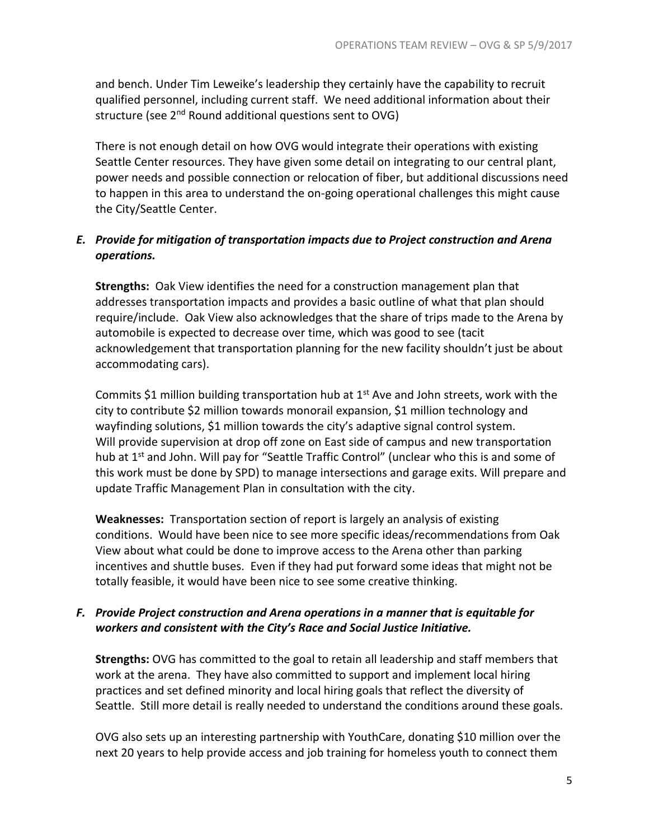and bench. Under Tim Leweike's leadership they certainly have the capability to recruit qualified personnel, including current staff. We need additional information about their structure (see 2<sup>nd</sup> Round additional questions sent to OVG)

There is not enough detail on how OVG would integrate their operations with existing Seattle Center resources. They have given some detail on integrating to our central plant, power needs and possible connection or relocation of fiber, but additional discussions need to happen in this area to understand the on-going operational challenges this might cause the City/Seattle Center.

# *E. Provide for mitigation of transportation impacts due to Project construction and Arena operations.*

**Strengths:** Oak View identifies the need for a construction management plan that addresses transportation impacts and provides a basic outline of what that plan should require/include. Oak View also acknowledges that the share of trips made to the Arena by automobile is expected to decrease over time, which was good to see (tacit acknowledgement that transportation planning for the new facility shouldn't just be about accommodating cars).

Commits \$1 million building transportation hub at  $1<sup>st</sup>$  Ave and John streets, work with the city to contribute \$2 million towards monorail expansion, \$1 million technology and wayfinding solutions, \$1 million towards the city's adaptive signal control system. Will provide supervision at drop off zone on East side of campus and new transportation hub at 1<sup>st</sup> and John. Will pay for "Seattle Traffic Control" (unclear who this is and some of this work must be done by SPD) to manage intersections and garage exits. Will prepare and update Traffic Management Plan in consultation with the city.

**Weaknesses:** Transportation section of report is largely an analysis of existing conditions. Would have been nice to see more specific ideas/recommendations from Oak View about what could be done to improve access to the Arena other than parking incentives and shuttle buses. Even if they had put forward some ideas that might not be totally feasible, it would have been nice to see some creative thinking.

# *F. Provide Project construction and Arena operations in a manner that is equitable for workers and consistent with the City's Race and Social Justice Initiative.*

**Strengths:** OVG has committed to the goal to retain all leadership and staff members that work at the arena. They have also committed to support and implement local hiring practices and set defined minority and local hiring goals that reflect the diversity of Seattle. Still more detail is really needed to understand the conditions around these goals.

OVG also sets up an interesting partnership with YouthCare, donating \$10 million over the next 20 years to help provide access and job training for homeless youth to connect them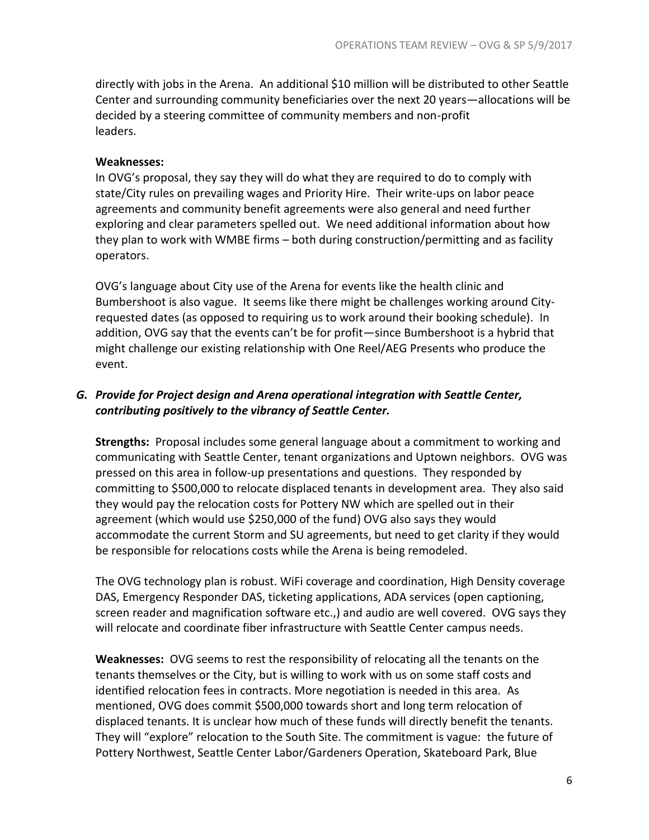directly with jobs in the Arena. An additional \$10 million will be distributed to other Seattle Center and surrounding community beneficiaries over the next 20 years—allocations will be decided by a steering committee of community members and non-profit leaders.

#### **Weaknesses:**

In OVG's proposal, they say they will do what they are required to do to comply with state/City rules on prevailing wages and Priority Hire. Their write-ups on labor peace agreements and community benefit agreements were also general and need further exploring and clear parameters spelled out. We need additional information about how they plan to work with WMBE firms – both during construction/permitting and as facility operators.

OVG's language about City use of the Arena for events like the health clinic and Bumbershoot is also vague. It seems like there might be challenges working around Cityrequested dates (as opposed to requiring us to work around their booking schedule). In addition, OVG say that the events can't be for profit—since Bumbershoot is a hybrid that might challenge our existing relationship with One Reel/AEG Presents who produce the event.

# *G. Provide for Project design and Arena operational integration with Seattle Center, contributing positively to the vibrancy of Seattle Center.*

**Strengths:** Proposal includes some general language about a commitment to working and communicating with Seattle Center, tenant organizations and Uptown neighbors. OVG was pressed on this area in follow-up presentations and questions. They responded by committing to \$500,000 to relocate displaced tenants in development area. They also said they would pay the relocation costs for Pottery NW which are spelled out in their agreement (which would use \$250,000 of the fund) OVG also says they would accommodate the current Storm and SU agreements, but need to get clarity if they would be responsible for relocations costs while the Arena is being remodeled.

The OVG technology plan is robust. WiFi coverage and coordination, High Density coverage DAS, Emergency Responder DAS, ticketing applications, ADA services (open captioning, screen reader and magnification software etc.,) and audio are well covered. OVG says they will relocate and coordinate fiber infrastructure with Seattle Center campus needs.

**Weaknesses:** OVG seems to rest the responsibility of relocating all the tenants on the tenants themselves or the City, but is willing to work with us on some staff costs and identified relocation fees in contracts. More negotiation is needed in this area. As mentioned, OVG does commit \$500,000 towards short and long term relocation of displaced tenants. It is unclear how much of these funds will directly benefit the tenants. They will "explore" relocation to the South Site. The commitment is vague: the future of Pottery Northwest, Seattle Center Labor/Gardeners Operation, Skateboard Park, Blue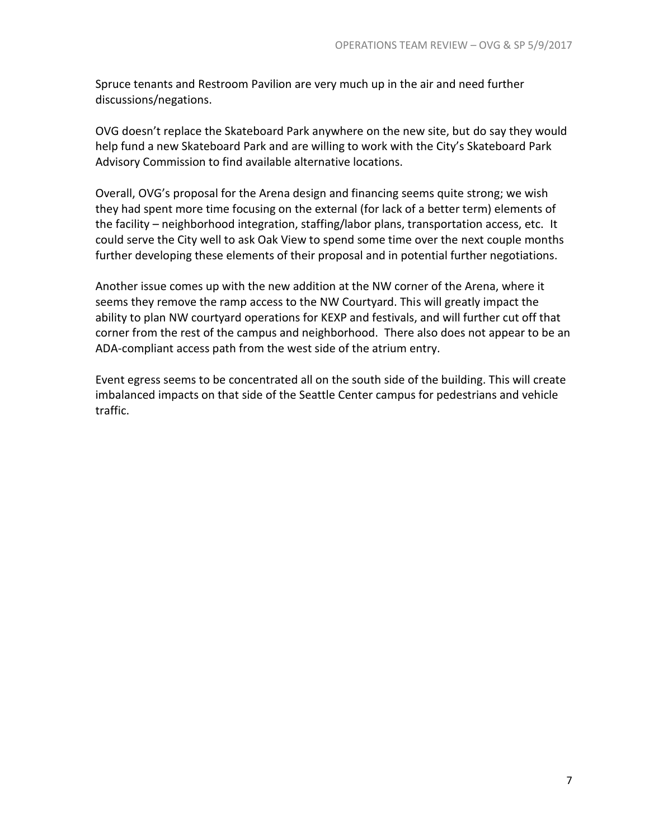Spruce tenants and Restroom Pavilion are very much up in the air and need further discussions/negations.

OVG doesn't replace the Skateboard Park anywhere on the new site, but do say they would help fund a new Skateboard Park and are willing to work with the City's Skateboard Park Advisory Commission to find available alternative locations.

Overall, OVG's proposal for the Arena design and financing seems quite strong; we wish they had spent more time focusing on the external (for lack of a better term) elements of the facility – neighborhood integration, staffing/labor plans, transportation access, etc. It could serve the City well to ask Oak View to spend some time over the next couple months further developing these elements of their proposal and in potential further negotiations.

Another issue comes up with the new addition at the NW corner of the Arena, where it seems they remove the ramp access to the NW Courtyard. This will greatly impact the ability to plan NW courtyard operations for KEXP and festivals, and will further cut off that corner from the rest of the campus and neighborhood. There also does not appear to be an ADA-compliant access path from the west side of the atrium entry.

Event egress seems to be concentrated all on the south side of the building. This will create imbalanced impacts on that side of the Seattle Center campus for pedestrians and vehicle traffic.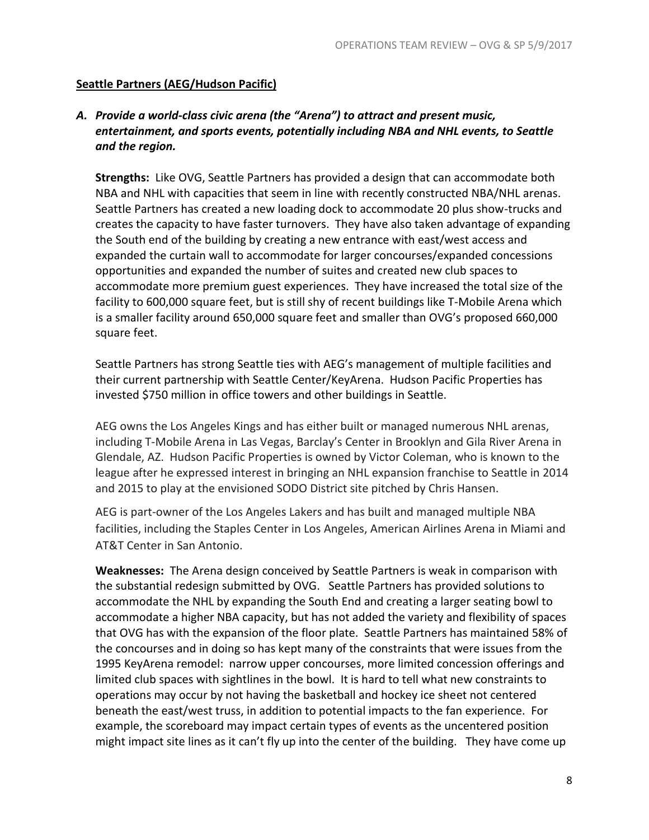#### **Seattle Partners (AEG/Hudson Pacific)**

## *A. Provide a world-class civic arena (the "Arena") to attract and present music, entertainment, and sports events, potentially including NBA and NHL events, to Seattle and the region.*

**Strengths:** Like OVG, Seattle Partners has provided a design that can accommodate both NBA and NHL with capacities that seem in line with recently constructed NBA/NHL arenas. Seattle Partners has created a new loading dock to accommodate 20 plus show-trucks and creates the capacity to have faster turnovers. They have also taken advantage of expanding the South end of the building by creating a new entrance with east/west access and expanded the curtain wall to accommodate for larger concourses/expanded concessions opportunities and expanded the number of suites and created new club spaces to accommodate more premium guest experiences. They have increased the total size of the facility to 600,000 square feet, but is still shy of recent buildings like T-Mobile Arena which is a smaller facility around 650,000 square feet and smaller than OVG's proposed 660,000 square feet.

Seattle Partners has strong Seattle ties with AEG's management of multiple facilities and their current partnership with Seattle Center/KeyArena. Hudson Pacific Properties has invested \$750 million in office towers and other buildings in Seattle.

AEG owns the Los Angeles Kings and has either built or managed numerous NHL arenas, including T-Mobile Arena in Las Vegas, Barclay's Center in Brooklyn and Gila River Arena in Glendale, AZ. Hudson Pacific Properties is owned by Victor Coleman, who is known to the league after he expressed interest in bringing an NHL expansion franchise to Seattle in 2014 and 2015 to play at the envisioned SODO District site pitched by Chris Hansen.

AEG is part-owner of the Los Angeles Lakers and has built and managed multiple NBA facilities, including the Staples Center in Los Angeles, American Airlines Arena in Miami and AT&T Center in San Antonio.

**Weaknesses:** The Arena design conceived by Seattle Partners is weak in comparison with the substantial redesign submitted by OVG. Seattle Partners has provided solutions to accommodate the NHL by expanding the South End and creating a larger seating bowl to accommodate a higher NBA capacity, but has not added the variety and flexibility of spaces that OVG has with the expansion of the floor plate. Seattle Partners has maintained 58% of the concourses and in doing so has kept many of the constraints that were issues from the 1995 KeyArena remodel: narrow upper concourses, more limited concession offerings and limited club spaces with sightlines in the bowl. It is hard to tell what new constraints to operations may occur by not having the basketball and hockey ice sheet not centered beneath the east/west truss, in addition to potential impacts to the fan experience. For example, the scoreboard may impact certain types of events as the uncentered position might impact site lines as it can't fly up into the center of the building. They have come up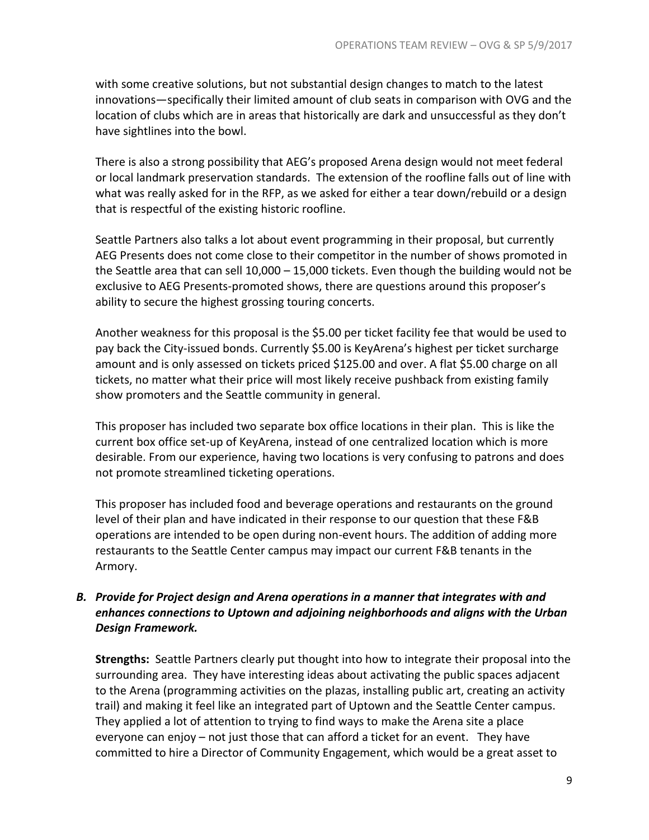with some creative solutions, but not substantial design changes to match to the latest innovations—specifically their limited amount of club seats in comparison with OVG and the location of clubs which are in areas that historically are dark and unsuccessful as they don't have sightlines into the bowl.

There is also a strong possibility that AEG's proposed Arena design would not meet federal or local landmark preservation standards. The extension of the roofline falls out of line with what was really asked for in the RFP, as we asked for either a tear down/rebuild or a design that is respectful of the existing historic roofline.

Seattle Partners also talks a lot about event programming in their proposal, but currently AEG Presents does not come close to their competitor in the number of shows promoted in the Seattle area that can sell 10,000 – 15,000 tickets. Even though the building would not be exclusive to AEG Presents-promoted shows, there are questions around this proposer's ability to secure the highest grossing touring concerts.

Another weakness for this proposal is the \$5.00 per ticket facility fee that would be used to pay back the City-issued bonds. Currently \$5.00 is KeyArena's highest per ticket surcharge amount and is only assessed on tickets priced \$125.00 and over. A flat \$5.00 charge on all tickets, no matter what their price will most likely receive pushback from existing family show promoters and the Seattle community in general.

This proposer has included two separate box office locations in their plan. This is like the current box office set-up of KeyArena, instead of one centralized location which is more desirable. From our experience, having two locations is very confusing to patrons and does not promote streamlined ticketing operations.

This proposer has included food and beverage operations and restaurants on the ground level of their plan and have indicated in their response to our question that these F&B operations are intended to be open during non-event hours. The addition of adding more restaurants to the Seattle Center campus may impact our current F&B tenants in the Armory.

# *B. Provide for Project design and Arena operations in a manner that integrates with and enhances connections to Uptown and adjoining neighborhoods and aligns with the Urban Design Framework.*

**Strengths:** Seattle Partners clearly put thought into how to integrate their proposal into the surrounding area. They have interesting ideas about activating the public spaces adjacent to the Arena (programming activities on the plazas, installing public art, creating an activity trail) and making it feel like an integrated part of Uptown and the Seattle Center campus. They applied a lot of attention to trying to find ways to make the Arena site a place everyone can enjoy – not just those that can afford a ticket for an event. They have committed to hire a Director of Community Engagement, which would be a great asset to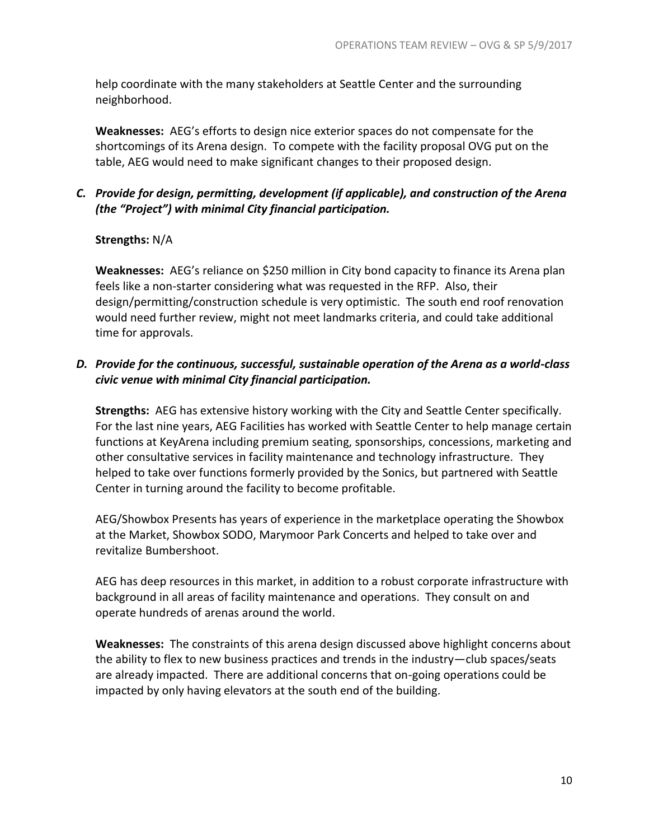help coordinate with the many stakeholders at Seattle Center and the surrounding neighborhood.

**Weaknesses:** AEG's efforts to design nice exterior spaces do not compensate for the shortcomings of its Arena design. To compete with the facility proposal OVG put on the table, AEG would need to make significant changes to their proposed design.

# *C. Provide for design, permitting, development (if applicable), and construction of the Arena (the "Project") with minimal City financial participation.*

# **Strengths:** N/A

**Weaknesses:** AEG's reliance on \$250 million in City bond capacity to finance its Arena plan feels like a non-starter considering what was requested in the RFP. Also, their design/permitting/construction schedule is very optimistic. The south end roof renovation would need further review, might not meet landmarks criteria, and could take additional time for approvals.

## *D. Provide for the continuous, successful, sustainable operation of the Arena as a world-class civic venue with minimal City financial participation.*

**Strengths:** AEG has extensive history working with the City and Seattle Center specifically. For the last nine years, AEG Facilities has worked with Seattle Center to help manage certain functions at KeyArena including premium seating, sponsorships, concessions, marketing and other consultative services in facility maintenance and technology infrastructure. They helped to take over functions formerly provided by the Sonics, but partnered with Seattle Center in turning around the facility to become profitable.

AEG/Showbox Presents has years of experience in the marketplace operating the Showbox at the Market, Showbox SODO, Marymoor Park Concerts and helped to take over and revitalize Bumbershoot.

AEG has deep resources in this market, in addition to a robust corporate infrastructure with background in all areas of facility maintenance and operations. They consult on and operate hundreds of arenas around the world.

**Weaknesses:** The constraints of this arena design discussed above highlight concerns about the ability to flex to new business practices and trends in the industry—club spaces/seats are already impacted. There are additional concerns that on-going operations could be impacted by only having elevators at the south end of the building.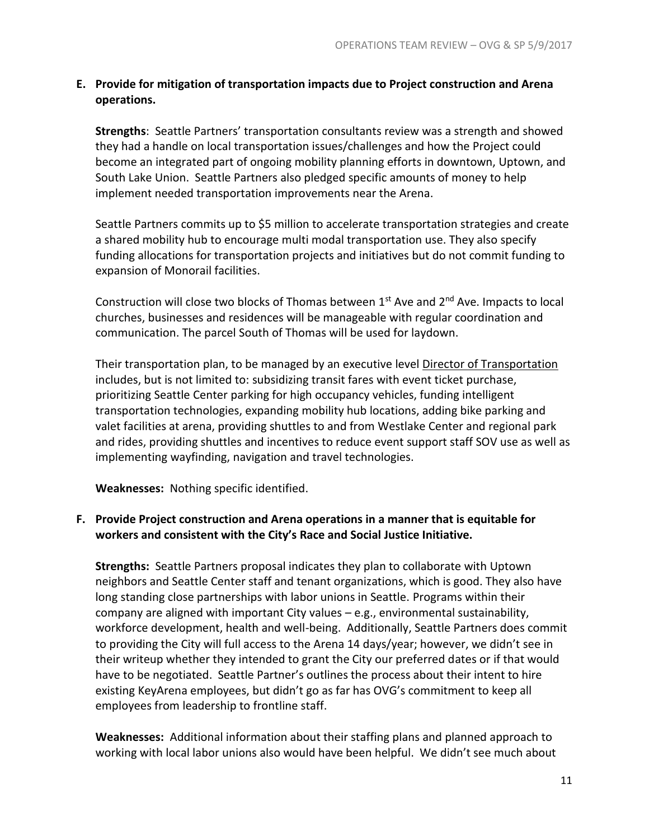# **E. Provide for mitigation of transportation impacts due to Project construction and Arena operations.**

**Strengths**: Seattle Partners' transportation consultants review was a strength and showed they had a handle on local transportation issues/challenges and how the Project could become an integrated part of ongoing mobility planning efforts in downtown, Uptown, and South Lake Union. Seattle Partners also pledged specific amounts of money to help implement needed transportation improvements near the Arena.

Seattle Partners commits up to \$5 million to accelerate transportation strategies and create a shared mobility hub to encourage multi modal transportation use. They also specify funding allocations for transportation projects and initiatives but do not commit funding to expansion of Monorail facilities.

Construction will close two blocks of Thomas between  $1<sup>st</sup>$  Ave and  $2<sup>nd</sup>$  Ave. Impacts to local churches, businesses and residences will be manageable with regular coordination and communication. The parcel South of Thomas will be used for laydown.

Their transportation plan, to be managed by an executive level Director of Transportation includes, but is not limited to: subsidizing transit fares with event ticket purchase, prioritizing Seattle Center parking for high occupancy vehicles, funding intelligent transportation technologies, expanding mobility hub locations, adding bike parking and valet facilities at arena, providing shuttles to and from Westlake Center and regional park and rides, providing shuttles and incentives to reduce event support staff SOV use as well as implementing wayfinding, navigation and travel technologies.

**Weaknesses:** Nothing specific identified.

## **F. Provide Project construction and Arena operations in a manner that is equitable for workers and consistent with the City's Race and Social Justice Initiative.**

**Strengths:** Seattle Partners proposal indicates they plan to collaborate with Uptown neighbors and Seattle Center staff and tenant organizations, which is good. They also have long standing close partnerships with labor unions in Seattle. Programs within their company are aligned with important City values – e.g., environmental sustainability, workforce development, health and well-being. Additionally, Seattle Partners does commit to providing the City will full access to the Arena 14 days/year; however, we didn't see in their writeup whether they intended to grant the City our preferred dates or if that would have to be negotiated. Seattle Partner's outlines the process about their intent to hire existing KeyArena employees, but didn't go as far has OVG's commitment to keep all employees from leadership to frontline staff.

**Weaknesses:** Additional information about their staffing plans and planned approach to working with local labor unions also would have been helpful. We didn't see much about